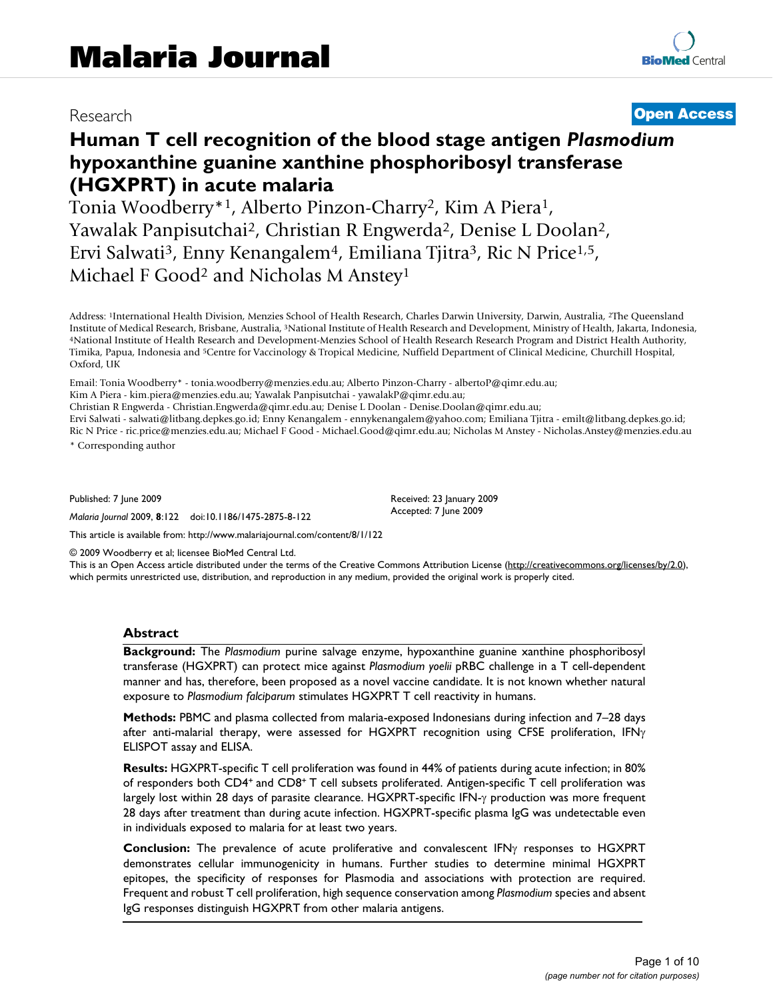# Research **[Open Access](http://www.biomedcentral.com/info/about/charter/)**

# **Human T cell recognition of the blood stage antigen** *Plasmodium*  **hypoxanthine guanine xanthine phosphoribosyl transferase (HGXPRT) in acute malaria**

Tonia Woodberry\*1, Alberto Pinzon-Charry2, Kim A Piera1, Yawalak Panpisutchai<sup>2</sup>, Christian R Engwerda<sup>2</sup>, Denise L Doolan<sup>2</sup>, Ervi Salwati3, Enny Kenangalem4, Emiliana Tjitra3, Ric N Price1,5, Michael F Good<sup>2</sup> and Nicholas M Anstey<sup>1</sup>

Address: <sup>1</sup>International Health Division, Menzies School of Health Research, Charles Darwin University, Darwin, Australia, <sup>2</sup>The Queensland<br>Institute of Medical Research, Brisbane, Australia, <sup>3</sup>National Institute of Hea 4National Institute of Health Research and Development-Menzies School of Health Research Research Program and District Health Authority, Timika, Papua, Indonesia and 5Centre for Vaccinology & Tropical Medicine, Nuffield Department of Clinical Medicine, Churchill Hospital, Oxford, UK

Email: Tonia Woodberry\* - tonia.woodberry@menzies.edu.au; Alberto Pinzon-Charry - albertoP@qimr.edu.au;

Kim A Piera - kim.piera@menzies.edu.au; Yawalak Panpisutchai - yawalakP@qimr.edu.au;

Christian R Engwerda - Christian.Engwerda@qimr.edu.au; Denise L Doolan - Denise.Doolan@qimr.edu.au;

Ervi Salwati - salwati@litbang.depkes.go.id; Enny Kenangalem - ennykenangalem@yahoo.com; Emiliana Tjitra - emilt@litbang.depkes.go.id; Ric N Price - ric.price@menzies.edu.au; Michael F Good - Michael.Good@qimr.edu.au; Nicholas M Anstey - Nicholas.Anstey@menzies.edu.au \* Corresponding author

Published: 7 June 2009

Received: 23 January 2009 Accepted: 7 June 2009

[This article is available from: http://www.malariajournal.com/content/8/1/122](http://www.malariajournal.com/content/8/1/122)

© 2009 Woodberry et al; licensee BioMed Central Ltd.

*Malaria Journal* 2009, **8**:122 doi:10.1186/1475-2875-8-122

This is an Open Access article distributed under the terms of the Creative Commons Attribution License [\(http://creativecommons.org/licenses/by/2.0\)](http://creativecommons.org/licenses/by/2.0), which permits unrestricted use, distribution, and reproduction in any medium, provided the original work is properly cited.

#### **Abstract**

**Background:** The *Plasmodium* purine salvage enzyme, hypoxanthine guanine xanthine phosphoribosyl transferase (HGXPRT) can protect mice against *Plasmodium yoelii* pRBC challenge in a T cell-dependent manner and has, therefore, been proposed as a novel vaccine candidate. It is not known whether natural exposure to *Plasmodium falciparum* stimulates HGXPRT T cell reactivity in humans.

**Methods:** PBMC and plasma collected from malaria-exposed Indonesians during infection and 7–28 days after anti-malarial therapy, were assessed for HGXPRT recognition using CFSE proliferation, IFN $\gamma$ ELISPOT assay and ELISA.

**Results:** HGXPRT-specific T cell proliferation was found in 44% of patients during acute infection; in 80% of responders both CD4+ and CD8+ T cell subsets proliferated. Antigen-specific T cell proliferation was largely lost within 28 days of parasite clearance. HGXPRT-specific IFN-γ production was more frequent 28 days after treatment than during acute infection. HGXPRT-specific plasma IgG was undetectable even in individuals exposed to malaria for at least two years.

**Conclusion:** The prevalence of acute proliferative and convalescent IFNγ responses to HGXPRT demonstrates cellular immunogenicity in humans. Further studies to determine minimal HGXPRT epitopes, the specificity of responses for Plasmodia and associations with protection are required. Frequent and robust T cell proliferation, high sequence conservation among *Plasmodium* species and absent IgG responses distinguish HGXPRT from other malaria antigens.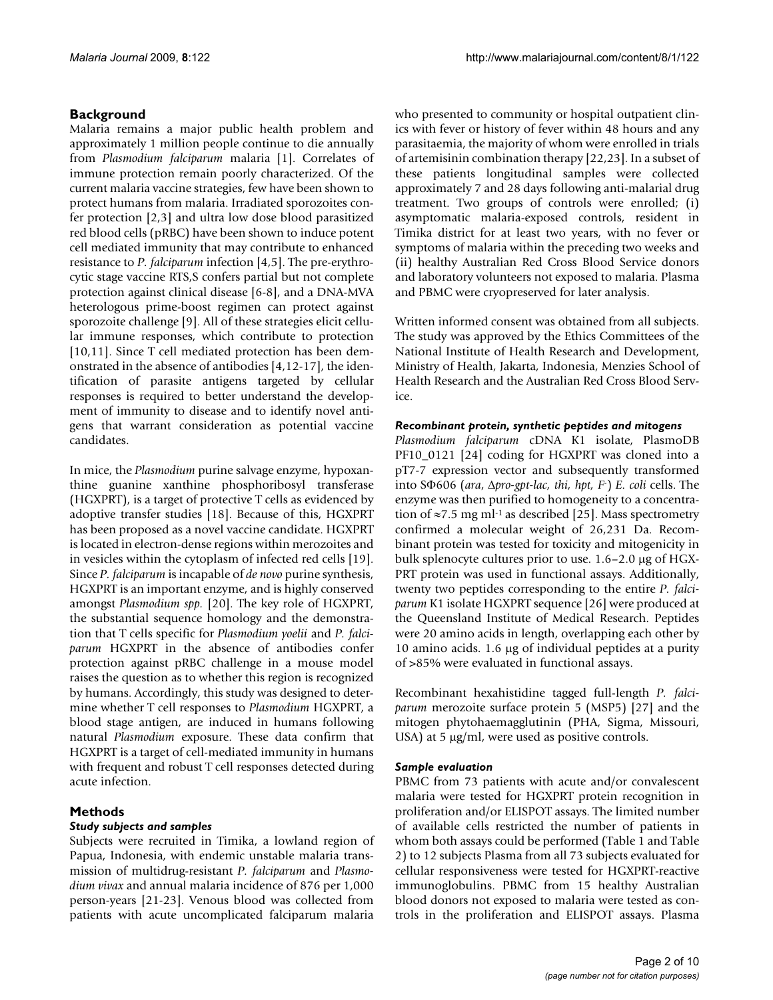## **Background**

Malaria remains a major public health problem and approximately 1 million people continue to die annually from *Plasmodium falciparum* malaria [1]. Correlates of immune protection remain poorly characterized. Of the current malaria vaccine strategies, few have been shown to protect humans from malaria. Irradiated sporozoites confer protection [2,3] and ultra low dose blood parasitized red blood cells (pRBC) have been shown to induce potent cell mediated immunity that may contribute to enhanced resistance to *P. falciparum* infection [4,5]. The pre-erythrocytic stage vaccine RTS,S confers partial but not complete protection against clinical disease [6-8], and a DNA-MVA heterologous prime-boost regimen can protect against sporozoite challenge [9]. All of these strategies elicit cellular immune responses, which contribute to protection [10,11]. Since T cell mediated protection has been demonstrated in the absence of antibodies [4,12-17], the identification of parasite antigens targeted by cellular responses is required to better understand the development of immunity to disease and to identify novel antigens that warrant consideration as potential vaccine candidates.

In mice, the *Plasmodium* purine salvage enzyme, hypoxanthine guanine xanthine phosphoribosyl transferase (HGXPRT), is a target of protective T cells as evidenced by adoptive transfer studies [18]. Because of this, HGXPRT has been proposed as a novel vaccine candidate. HGXPRT is located in electron-dense regions within merozoites and in vesicles within the cytoplasm of infected red cells [19]. Since *P. falciparum* is incapable of *de novo* purine synthesis, HGXPRT is an important enzyme, and is highly conserved amongst *Plasmodium spp.* [20]. The key role of HGXPRT, the substantial sequence homology and the demonstration that T cells specific for *Plasmodium yoelii* and *P. falciparum* HGXPRT in the absence of antibodies confer protection against pRBC challenge in a mouse model raises the question as to whether this region is recognized by humans. Accordingly, this study was designed to determine whether T cell responses to *Plasmodium* HGXPRT, a blood stage antigen, are induced in humans following natural *Plasmodium* exposure. These data confirm that HGXPRT is a target of cell-mediated immunity in humans with frequent and robust T cell responses detected during acute infection.

## **Methods**

## *Study subjects and samples*

Subjects were recruited in Timika, a lowland region of Papua, Indonesia, with endemic unstable malaria transmission of multidrug-resistant *P. falciparum* and *Plasmodium vivax* and annual malaria incidence of 876 per 1,000 person-years [21-23]. Venous blood was collected from patients with acute uncomplicated falciparum malaria

who presented to community or hospital outpatient clinics with fever or history of fever within 48 hours and any parasitaemia, the majority of whom were enrolled in trials of artemisinin combination therapy [22,23]. In a subset of these patients longitudinal samples were collected approximately 7 and 28 days following anti-malarial drug treatment. Two groups of controls were enrolled; (i) asymptomatic malaria-exposed controls, resident in Timika district for at least two years, with no fever or symptoms of malaria within the preceding two weeks and (ii) healthy Australian Red Cross Blood Service donors and laboratory volunteers not exposed to malaria. Plasma and PBMC were cryopreserved for later analysis.

Written informed consent was obtained from all subjects. The study was approved by the Ethics Committees of the National Institute of Health Research and Development, Ministry of Health, Jakarta, Indonesia, Menzies School of Health Research and the Australian Red Cross Blood Service.

#### *Recombinant protein, synthetic peptides and mitogens*

*Plasmodium falciparum* cDNA K1 isolate, PlasmoDB PF10\_0121 [24] coding for HGXPRT was cloned into a pT7-7 expression vector and subsequently transformed into SΦ606 (*ara*, Δ*pro-gpt-lac, thi, hpt, F*- ) *E. coli* cells. The enzyme was then purified to homogeneity to a concentration of ≈7.5 mg ml-1 as described [25]. Mass spectrometry confirmed a molecular weight of 26,231 Da. Recombinant protein was tested for toxicity and mitogenicity in bulk splenocyte cultures prior to use. 1.6–2.0 μg of HGX-PRT protein was used in functional assays. Additionally, twenty two peptides corresponding to the entire *P. falciparum* K1 isolate HGXPRT sequence [26] were produced at the Queensland Institute of Medical Research. Peptides were 20 amino acids in length, overlapping each other by 10 amino acids. 1.6 μg of individual peptides at a purity of >85% were evaluated in functional assays.

Recombinant hexahistidine tagged full-length *P. falciparum* merozoite surface protein 5 (MSP5) [27] and the mitogen phytohaemagglutinin (PHA, Sigma, Missouri, USA) at 5 μg/ml, were used as positive controls.

#### *Sample evaluation*

PBMC from 73 patients with acute and/or convalescent malaria were tested for HGXPRT protein recognition in proliferation and/or ELISPOT assays. The limited number of available cells restricted the number of patients in whom both assays could be performed (Table 1 and Table 2) to 12 subjects Plasma from all 73 subjects evaluated for cellular responsiveness were tested for HGXPRT-reactive immunoglobulins. PBMC from 15 healthy Australian blood donors not exposed to malaria were tested as controls in the proliferation and ELISPOT assays. Plasma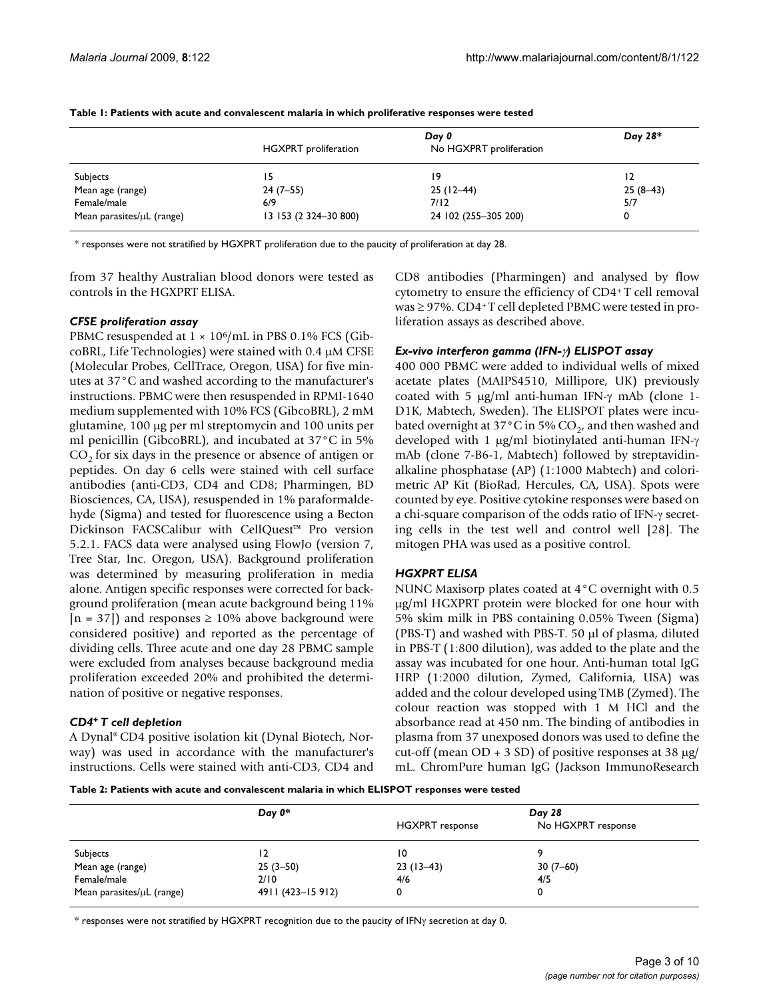|                                 | Day 0                       |                         | Day $28*$  |  |
|---------------------------------|-----------------------------|-------------------------|------------|--|
|                                 | <b>HGXPRT</b> proliferation | No HGXPRT proliferation |            |  |
| Subjects                        | 15                          | 19                      | 12         |  |
| Mean age (range)                | $24(7-55)$                  | $25(12-44)$             | $25(8-43)$ |  |
| Female/male                     | 6/9                         | 7/12                    | 5/7        |  |
| Mean parasites/ $\mu$ L (range) | 13 153 (2 324-30 800)       | 24 102 (255-305 200)    |            |  |

#### **Table 1: Patients with acute and convalescent malaria in which proliferative responses were tested**

\* responses were not stratified by HGXPRT proliferation due to the paucity of proliferation at day 28.

from 37 healthy Australian blood donors were tested as controls in the HGXPRT ELISA.

#### *CFSE proliferation assay*

PBMC resuspended at  $1 \times 10^6$ /mL in PBS 0.1% FCS (GibcoBRL, Life Technologies) were stained with 0.4 μM CFSE (Molecular Probes, CellTrace, Oregon, USA) for five minutes at 37°C and washed according to the manufacturer's instructions. PBMC were then resuspended in RPMI-1640 medium supplemented with 10% FCS (GibcoBRL), 2 mM glutamine, 100 μg per ml streptomycin and 100 units per ml penicillin (GibcoBRL), and incubated at 37°C in 5%  $CO<sub>2</sub>$  for six days in the presence or absence of antigen or peptides. On day 6 cells were stained with cell surface antibodies (anti-CD3, CD4 and CD8; Pharmingen, BD Biosciences, CA, USA), resuspended in 1% paraformaldehyde (Sigma) and tested for fluorescence using a Becton Dickinson FACSCalibur with CellQuest™ Pro version 5.2.1. FACS data were analysed using FlowJo (version 7, Tree Star, Inc. Oregon, USA). Background proliferation was determined by measuring proliferation in media alone. Antigen specific responses were corrected for background proliferation (mean acute background being 11% [n = 37]) and responses  $\geq 10\%$  above background were considered positive) and reported as the percentage of dividing cells. Three acute and one day 28 PBMC sample were excluded from analyses because background media proliferation exceeded 20% and prohibited the determination of positive or negative responses.

#### *CD4+ T cell depletion*

A Dynal® CD4 positive isolation kit (Dynal Biotech, Norway) was used in accordance with the manufacturer's instructions. Cells were stained with anti-CD3, CD4 and CD8 antibodies (Pharmingen) and analysed by flow cytometry to ensure the efficiency of CD4+ T cell removal was ≥ 97%. CD4+ T cell depleted PBMC were tested in proliferation assays as described above.

## *Ex-vivo interferon gamma (IFN-*γ*) ELISPOT assay*

400 000 PBMC were added to individual wells of mixed acetate plates (MAIPS4510, Millipore, UK) previously coated with 5 μg/ml anti-human IFN-γ mAb (clone 1- D1K, Mabtech, Sweden). The ELISPOT plates were incubated overnight at 37 $\degree$ C in 5% CO<sub>2</sub>, and then washed and developed with 1 μg/ml biotinylated anti-human IFN-γ mAb (clone 7-B6-1, Mabtech) followed by streptavidinalkaline phosphatase (AP) (1:1000 Mabtech) and colorimetric AP Kit (BioRad, Hercules, CA, USA). Spots were counted by eye. Positive cytokine responses were based on a chi-square comparison of the odds ratio of IFN-γ secreting cells in the test well and control well [28]. The mitogen PHA was used as a positive control.

#### *HGXPRT ELISA*

NUNC Maxisorp plates coated at 4°C overnight with 0.5 μg/ml HGXPRT protein were blocked for one hour with 5% skim milk in PBS containing 0.05% Tween (Sigma) (PBS-T) and washed with PBS-T. 50 μl of plasma, diluted in PBS-T (1:800 dilution), was added to the plate and the assay was incubated for one hour. Anti-human total IgG HRP (1:2000 dilution, Zymed, California, USA) was added and the colour developed using TMB (Zymed). The colour reaction was stopped with 1 M HCl and the absorbance read at 450 nm. The binding of antibodies in plasma from 37 unexposed donors was used to define the cut-off (mean  $OD + 3 SD$ ) of positive responses at 38  $\mu$ g/ mL. ChromPure human IgG (Jackson ImmunoResearch

**Table 2: Patients with acute and convalescent malaria in which ELISPOT responses were tested**

|                           | Day $0^*$         | Day 28                 |                    |  |
|---------------------------|-------------------|------------------------|--------------------|--|
|                           |                   | <b>HGXPRT</b> response | No HGXPRT response |  |
| Subjects                  | 12                | 10                     |                    |  |
| Mean age (range)          | $25(3-50)$        | $23(13-43)$            | $30(7-60)$         |  |
| Female/male               | 2/10              | 4/6                    | 4/5                |  |
| Mean parasites/µL (range) | 4911 (423-15 912) |                        |                    |  |

 $*$  responses were not stratified by HGXPRT recognition due to the paucity of IFN<sub>Y</sub> secretion at day 0.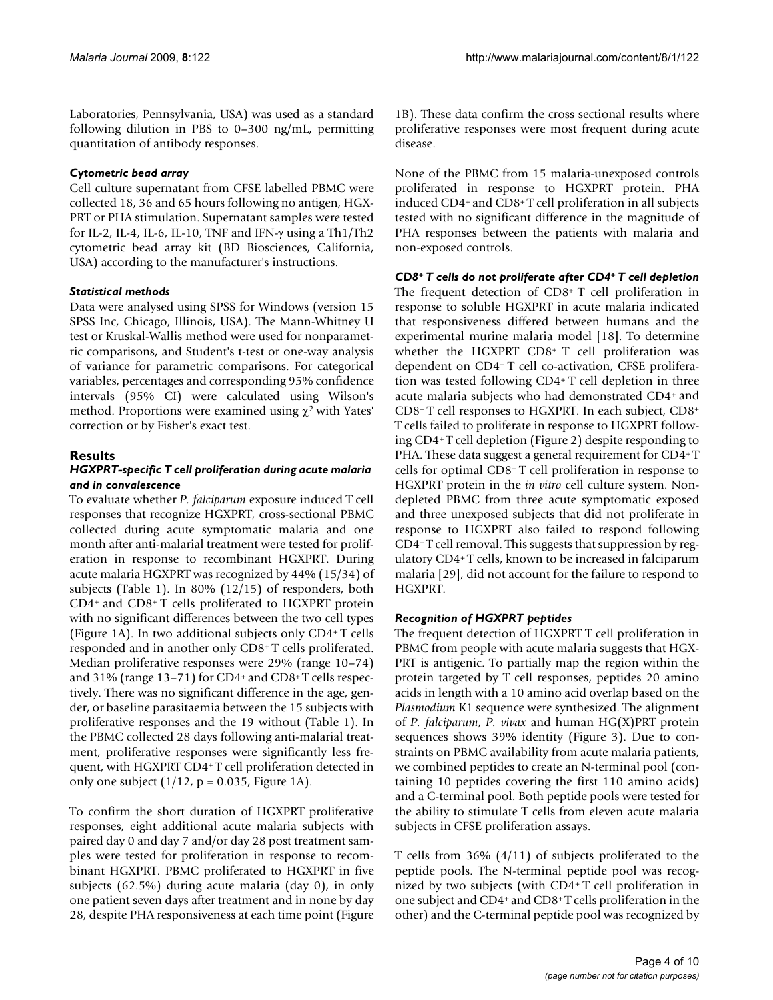Laboratories, Pennsylvania, USA) was used as a standard following dilution in PBS to 0–300 ng/mL, permitting quantitation of antibody responses.

## *Cytometric bead array*

Cell culture supernatant from CFSE labelled PBMC were collected 18, 36 and 65 hours following no antigen, HGX-PRT or PHA stimulation. Supernatant samples were tested for IL-2, IL-4, IL-6, IL-10, TNF and IFN- $\gamma$  using a Th1/Th2 cytometric bead array kit (BD Biosciences, California, USA) according to the manufacturer's instructions.

## *Statistical methods*

Data were analysed using SPSS for Windows (version 15 SPSS Inc, Chicago, Illinois, USA). The Mann-Whitney U test or Kruskal-Wallis method were used for nonparametric comparisons, and Student's t-test or one-way analysis of variance for parametric comparisons. For categorical variables, percentages and corresponding 95% confidence intervals (95% CI) were calculated using Wilson's method. Proportions were examined using  $\chi^2$  with Yates' correction or by Fisher's exact test.

## **Results**

### *HGXPRT-specific T cell proliferation during acute malaria and in convalescence*

To evaluate whether *P. falciparum* exposure induced T cell responses that recognize HGXPRT, cross-sectional PBMC collected during acute symptomatic malaria and one month after anti-malarial treatment were tested for proliferation in response to recombinant HGXPRT. During acute malaria HGXPRT was recognized by 44% (15/34) of subjects (Table 1). In 80% (12/15) of responders, both CD4+ and CD8+ T cells proliferated to HGXPRT protein with no significant differences between the two cell types (Figure 1A). In two additional subjects only CD4+ T cells responded and in another only CD8+ T cells proliferated. Median proliferative responses were 29% (range 10–74) and 31% (range 13–71) for CD4+ and CD8+ T cells respectively. There was no significant difference in the age, gender, or baseline parasitaemia between the 15 subjects with proliferative responses and the 19 without (Table 1). In the PBMC collected 28 days following anti-malarial treatment, proliferative responses were significantly less frequent, with HGXPRT CD4+ T cell proliferation detected in only one subject  $(1/12, p = 0.035,$  Figure 1A).

To confirm the short duration of HGXPRT proliferative responses, eight additional acute malaria subjects with paired day 0 and day 7 and/or day 28 post treatment samples were tested for proliferation in response to recombinant HGXPRT. PBMC proliferated to HGXPRT in five subjects (62.5%) during acute malaria (day 0), in only one patient seven days after treatment and in none by day 28, despite PHA responsiveness at each time point (Figure

1B). These data confirm the cross sectional results where proliferative responses were most frequent during acute disease.

None of the PBMC from 15 malaria-unexposed controls proliferated in response to HGXPRT protein. PHA induced CD4+ and CD8+ T cell proliferation in all subjects tested with no significant difference in the magnitude of PHA responses between the patients with malaria and non-exposed controls.

*CD8+ T cells do not proliferate after CD4+ T cell depletion* The frequent detection of CD8+ T cell proliferation in response to soluble HGXPRT in acute malaria indicated that responsiveness differed between humans and the experimental murine malaria model [18]. To determine whether the HGXPRT CD8+ T cell proliferation was dependent on CD4+ T cell co-activation, CFSE proliferation was tested following CD4+ T cell depletion in three acute malaria subjects who had demonstrated CD4+ and CD8+ T cell responses to HGXPRT. In each subject, CD8+ T cells failed to proliferate in response to HGXPRT following CD4+ T cell depletion (Figure 2) despite responding to PHA. These data suggest a general requirement for CD4+T cells for optimal CD8+ T cell proliferation in response to HGXPRT protein in the *in vitro* cell culture system. Nondepleted PBMC from three acute symptomatic exposed and three unexposed subjects that did not proliferate in response to HGXPRT also failed to respond following CD4+ T cell removal. This suggests that suppression by regulatory CD4+ T cells, known to be increased in falciparum malaria [29], did not account for the failure to respond to HGXPRT.

## *Recognition of HGXPRT peptides*

The frequent detection of HGXPRT T cell proliferation in PBMC from people with acute malaria suggests that HGX-PRT is antigenic. To partially map the region within the protein targeted by T cell responses, peptides 20 amino acids in length with a 10 amino acid overlap based on the *Plasmodium* K1 sequence were synthesized. The alignment of *P. falciparum*, *P. vivax* and human HG(X)PRT protein sequences shows 39% identity (Figure 3). Due to constraints on PBMC availability from acute malaria patients, we combined peptides to create an N-terminal pool (containing 10 peptides covering the first 110 amino acids) and a C-terminal pool. Both peptide pools were tested for the ability to stimulate T cells from eleven acute malaria subjects in CFSE proliferation assays.

T cells from 36% (4/11) of subjects proliferated to the peptide pools. The N-terminal peptide pool was recognized by two subjects (with CD4+ T cell proliferation in one subject and CD4+ and CD8+ T cells proliferation in the other) and the C-terminal peptide pool was recognized by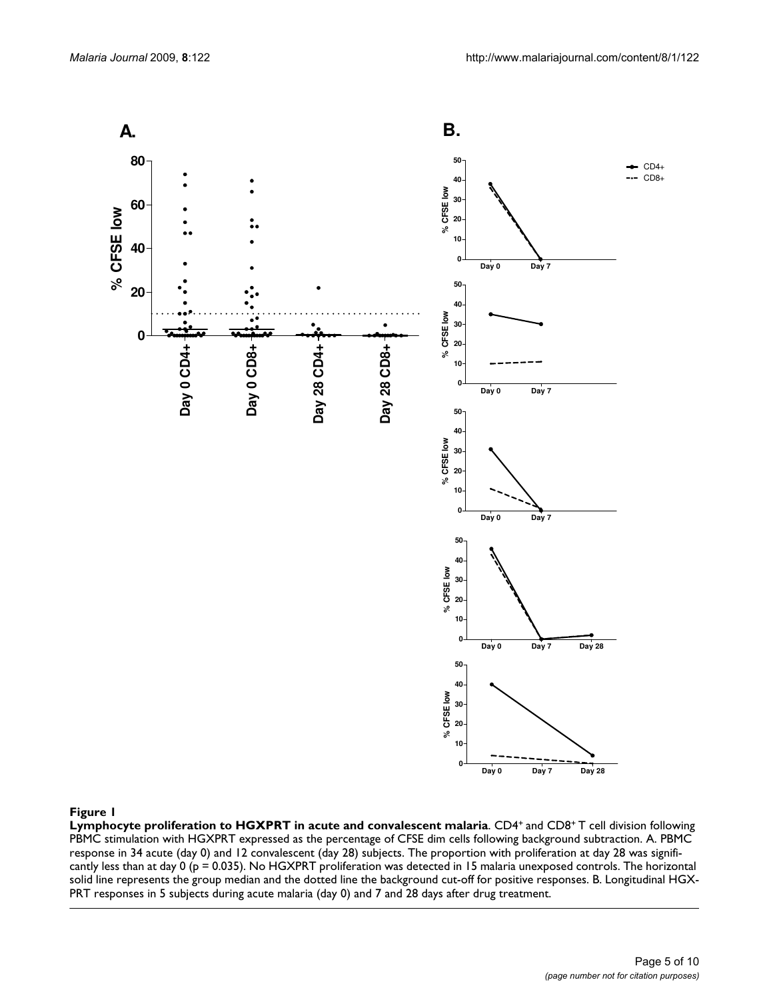

#### Figure 1

Lymphocyte proliferation to HGXPRT in acute and convalescent malaria. CD4<sup>+</sup> and CD8<sup>+</sup> T cell division following PBMC stimulation with HGXPRT expressed as the percentage of CFSE dim cells following background subtraction. A. PBMC response in 34 acute (day 0) and 12 convalescent (day 28) subjects. The proportion with proliferation at day 28 was significantly less than at day 0 (p = 0.035). No HGXPRT proliferation was detected in 15 malaria unexposed controls. The horizontal solid line represents the group median and the dotted line the background cut-off for positive responses. B. Longitudinal HGX-PRT responses in 5 subjects during acute malaria (day 0) and 7 and 28 days after drug treatment.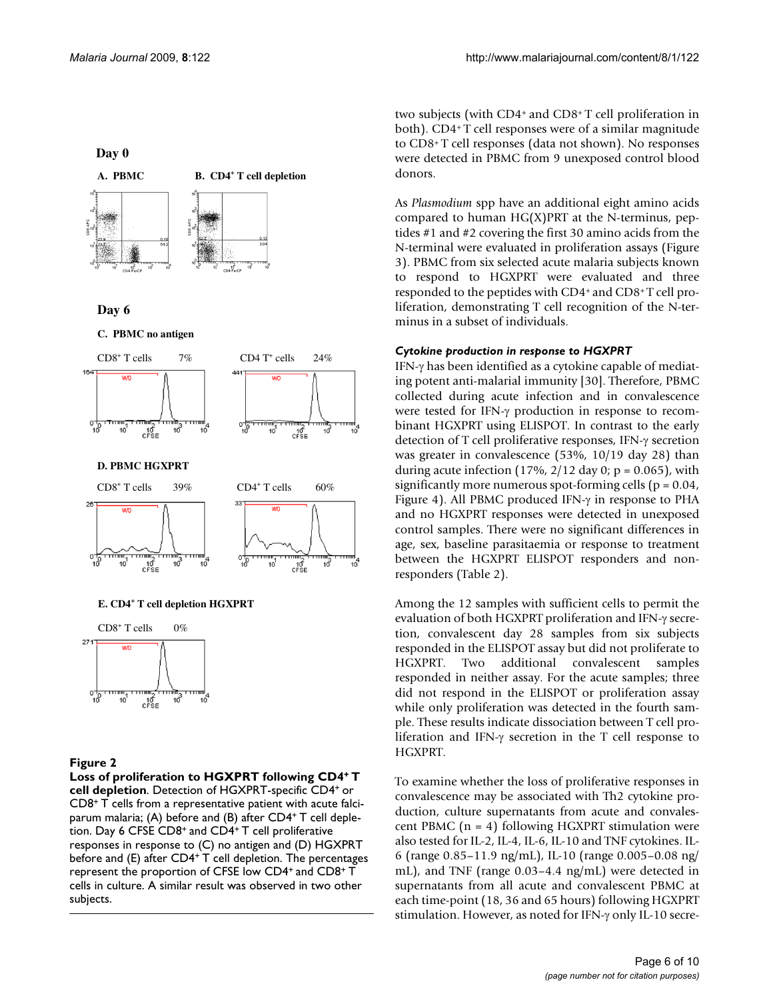



**Day 6** 

**C. PBMC no antigen** 



**D. PBMC HGXPRT** 



 $\frac{1}{10}$ 

10<br>CFSE

**E. CD4<sup>+</sup> T cell depletion HGXPRT** 



## **Figure 2**

**Loss of proliferation to HGXPRT following CD4+ T cell depletion**. Detection of HGXPRT-specific CD4+ or CD8+ T cells from a representative patient with acute falciparum malaria; (A) before and (B) after CD4+ T cell depletion. Day 6 CFSE CD8+ and CD4+ T cell proliferative responses in response to (C) no antigen and (D) HGXPRT before and (E) after CD4+ T cell depletion. The percentages represent the proportion of CFSE low CD4<sup>+</sup> and CD8<sup>+</sup> T cells in culture. A similar result was observed in two other subjects.

two subjects (with CD4+ and CD8+ T cell proliferation in both). CD4+ T cell responses were of a similar magnitude to CD8+ T cell responses (data not shown). No responses were detected in PBMC from 9 unexposed control blood donors.

As *Plasmodium* spp have an additional eight amino acids compared to human  $HG(X)$ PRT at the N-terminus, peptides #1 and #2 covering the first 30 amino acids from the N-terminal were evaluated in proliferation assays (Figure 3). PBMC from six selected acute malaria subjects known to respond to HGXPRT were evaluated and three responded to the peptides with CD4+ and CD8+ T cell proliferation, demonstrating T cell recognition of the N-terminus in a subset of individuals.

## *Cytokine production in response to HGXPRT*

IFN-γ has been identified as a cytokine capable of mediating potent anti-malarial immunity [30]. Therefore, PBMC collected during acute infection and in convalescence were tested for IFN-γ production in response to recombinant HGXPRT using ELISPOT. In contrast to the early detection of T cell proliferative responses, IFN-γ secretion was greater in convalescence (53%, 10/19 day 28) than during acute infection (17%,  $2/12$  day 0; p = 0.065), with significantly more numerous spot-forming cells ( $p = 0.04$ , Figure 4). All PBMC produced IFN-γ in response to PHA and no HGXPRT responses were detected in unexposed control samples. There were no significant differences in age, sex, baseline parasitaemia or response to treatment between the HGXPRT ELISPOT responders and nonresponders (Table 2).

Among the 12 samples with sufficient cells to permit the evaluation of both HGXPRT proliferation and IFN-γ secretion, convalescent day 28 samples from six subjects responded in the ELISPOT assay but did not proliferate to HGXPRT. Two additional convalescent samples responded in neither assay. For the acute samples; three did not respond in the ELISPOT or proliferation assay while only proliferation was detected in the fourth sample. These results indicate dissociation between T cell proliferation and IFN-γ secretion in the T cell response to HGXPRT.

To examine whether the loss of proliferative responses in convalescence may be associated with Th2 cytokine production, culture supernatants from acute and convalescent PBMC  $(n = 4)$  following HGXPRT stimulation were also tested for IL-2, IL-4, IL-6, IL-10 and TNF cytokines. IL-6 (range 0.85–11.9 ng/mL), IL-10 (range 0.005–0.08 ng/ mL), and TNF (range 0.03–4.4 ng/mL) were detected in supernatants from all acute and convalescent PBMC at each time-point (18, 36 and 65 hours) following HGXPRT stimulation. However, as noted for IFN-γ only IL-10 secre-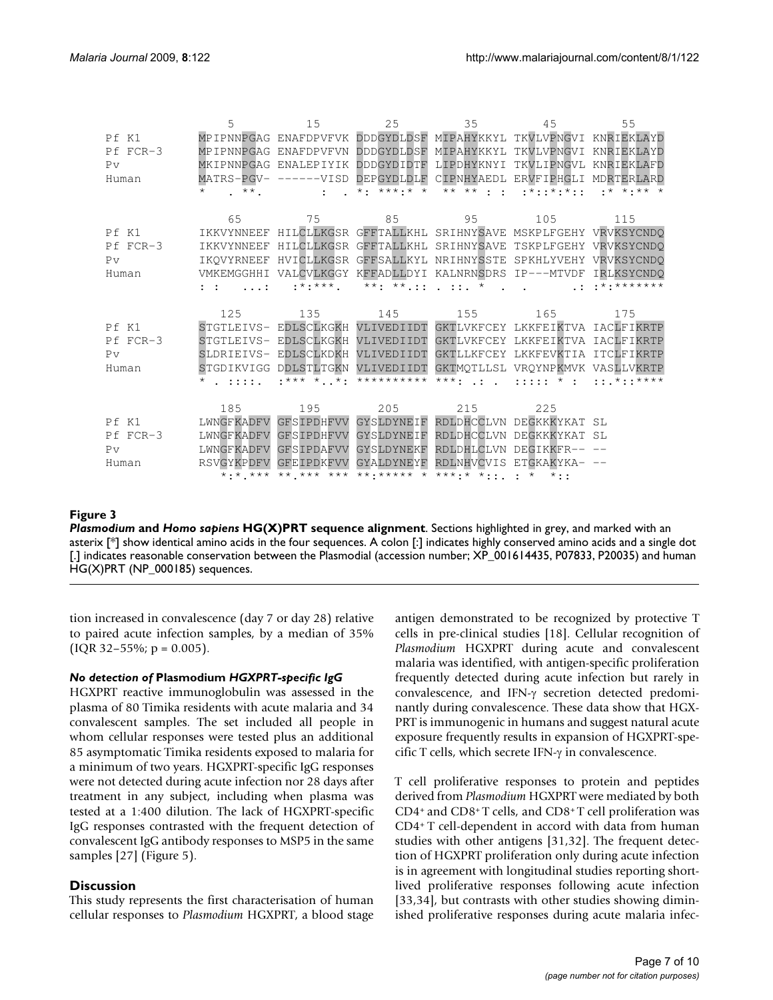|                                                                            |                                                                                                                                                                                                                                                                                                                                                                                       | 15                                                                                                                                                                                                                                                                                                                                                                                                                                 | 25 35 | 45                               | 55 |
|----------------------------------------------------------------------------|---------------------------------------------------------------------------------------------------------------------------------------------------------------------------------------------------------------------------------------------------------------------------------------------------------------------------------------------------------------------------------------|------------------------------------------------------------------------------------------------------------------------------------------------------------------------------------------------------------------------------------------------------------------------------------------------------------------------------------------------------------------------------------------------------------------------------------|-------|----------------------------------|----|
| Pf K1                                                                      |                                                                                                                                                                                                                                                                                                                                                                                       | MPIPNNPGAG ENAFDPVFVK DDDGYDLDSF MIPAHYKKYL TKVLVPNGVI KNRIEKLAYD                                                                                                                                                                                                                                                                                                                                                                  |       |                                  |    |
| Pf FCR-3 MPIPNNPGAG ENAFDPVFVN DDDGYDLDSF MIPAHYKKYL TKVLVPNGVI KNRIEKLAYD |                                                                                                                                                                                                                                                                                                                                                                                       |                                                                                                                                                                                                                                                                                                                                                                                                                                    |       |                                  |    |
| Pv MKIPNNPGAG ENALEPIYIK DDDGYDIDTF LIPDHYKNYI TKVLIPNGVL KNRIEKLAFD       |                                                                                                                                                                                                                                                                                                                                                                                       |                                                                                                                                                                                                                                                                                                                                                                                                                                    |       |                                  |    |
| Human MATRS-PGV- ------VISD DEPGYDLDLF CIPNHYAEDL ERVFIPHGLI MDRTERLARD    |                                                                                                                                                                                                                                                                                                                                                                                       |                                                                                                                                                                                                                                                                                                                                                                                                                                    |       |                                  |    |
|                                                                            | $\overline{x}$ , $\overline{x}$ , $\overline{x}$ , $\overline{x}$ , $\overline{x}$ , $\overline{x}$ , $\overline{x}$ , $\overline{x}$ , $\overline{x}$ , $\overline{x}$ , $\overline{x}$ , $\overline{x}$ , $\overline{x}$ , $\overline{x}$ , $\overline{x}$ , $\overline{x}$ , $\overline{x}$ , $\overline{x}$ , $\overline{x}$ , $\overline{x}$ , $\overline{x}$ , $\overline{x}$ , |                                                                                                                                                                                                                                                                                                                                                                                                                                    |       |                                  |    |
|                                                                            |                                                                                                                                                                                                                                                                                                                                                                                       |                                                                                                                                                                                                                                                                                                                                                                                                                                    |       |                                  |    |
|                                                                            |                                                                                                                                                                                                                                                                                                                                                                                       | 65 75 85 95 105 115                                                                                                                                                                                                                                                                                                                                                                                                                |       |                                  |    |
| Pf K1 IKKVYNNEEF HILCLLKGSR GFFTALLKHL SRIHNYSAVE MSKPLFGEHY VRVKSYCNDQ    |                                                                                                                                                                                                                                                                                                                                                                                       |                                                                                                                                                                                                                                                                                                                                                                                                                                    |       |                                  |    |
| Pf FCR-3 IKKVYNNEEF HILCLLKGSR GFFTALLKHL SRIHNYSAVE TSKPLFGEHY VRVKSYCNDQ |                                                                                                                                                                                                                                                                                                                                                                                       |                                                                                                                                                                                                                                                                                                                                                                                                                                    |       |                                  |    |
| PV IKQVYRNEEF HVICLLKGSR GFFSALLKYL NRIHNYSSTE SPKHLYVEHY VRVKSYCNDQ       |                                                                                                                                                                                                                                                                                                                                                                                       |                                                                                                                                                                                                                                                                                                                                                                                                                                    |       |                                  |    |
| Human  VMKEMGGHHI VALCVLKGGY KFFADLLDYI KALNRNSDRS IP---MTVDF IRLKSYCNDQ   |                                                                                                                                                                                                                                                                                                                                                                                       |                                                                                                                                                                                                                                                                                                                                                                                                                                    |       |                                  |    |
|                                                                            | $\vdots$ $\vdots$ $\vdots$ $\vdots$ $\vdots$ $\vdots$ $\vdots$ $\vdots$ $\vdots$ $\vdots$ $\vdots$ $\vdots$ $\vdots$ $\vdots$ $\vdots$ $\vdots$ $\vdots$ $\vdots$ $\vdots$ $\vdots$ $\vdots$ $\vdots$ $\vdots$ $\vdots$ $\vdots$ $\vdots$ $\vdots$ $\vdots$ $\vdots$ $\vdots$ $\vdots$ $\vdots$ $\vdots$ $\vdots$ $\vdots$ $\vdots$ $\vdots$                                          |                                                                                                                                                                                                                                                                                                                                                                                                                                    |       |                                  |    |
|                                                                            |                                                                                                                                                                                                                                                                                                                                                                                       |                                                                                                                                                                                                                                                                                                                                                                                                                                    |       |                                  |    |
|                                                                            |                                                                                                                                                                                                                                                                                                                                                                                       | $125$ $135$ $145$ $155$ $165$ $175$                                                                                                                                                                                                                                                                                                                                                                                                |       |                                  |    |
|                                                                            |                                                                                                                                                                                                                                                                                                                                                                                       |                                                                                                                                                                                                                                                                                                                                                                                                                                    |       |                                  |    |
| Pf K1                                                                      |                                                                                                                                                                                                                                                                                                                                                                                       | STGTLEIVS- EDLSCLKGKH VLIVEDIIDT GKTLVKFCEY LKKFEIKTVA IACLFIKRTP                                                                                                                                                                                                                                                                                                                                                                  |       |                                  |    |
| Pf FCR-3 STGTLEIVS- EDLSCLKGKH VLIVEDIIDT                                  |                                                                                                                                                                                                                                                                                                                                                                                       |                                                                                                                                                                                                                                                                                                                                                                                                                                    |       | GKTLVKFCEY LKKFEIKTVA IACLFIKRTP |    |
| Pv                                                                         | SLDRIEIVS- EDLSCLKDKH VLIVEDIIDT                                                                                                                                                                                                                                                                                                                                                      |                                                                                                                                                                                                                                                                                                                                                                                                                                    |       | GKTLLKFCEY LKKFEVKTIA ITCLFIKRTP |    |
| Human STGDIKVIGG DDLSTLTGKN VLIVEDIIDT                                     |                                                                                                                                                                                                                                                                                                                                                                                       |                                                                                                                                                                                                                                                                                                                                                                                                                                    |       | GKTMOTLLSL VROYNPKMVK VASLLVKRTP |    |
|                                                                            |                                                                                                                                                                                                                                                                                                                                                                                       | * . ::::. .*** * .*: ********** ***: .::::: *:*: ****                                                                                                                                                                                                                                                                                                                                                                              |       |                                  |    |
|                                                                            |                                                                                                                                                                                                                                                                                                                                                                                       |                                                                                                                                                                                                                                                                                                                                                                                                                                    |       |                                  |    |
|                                                                            |                                                                                                                                                                                                                                                                                                                                                                                       | 185 195 205 215 225                                                                                                                                                                                                                                                                                                                                                                                                                |       |                                  |    |
| Pf K1 LWNGFKADFV GFSIPDHFVV GYSLDYNEIF RDLDHCCLVN DEGKKKYKAT SL            |                                                                                                                                                                                                                                                                                                                                                                                       |                                                                                                                                                                                                                                                                                                                                                                                                                                    |       |                                  |    |
| Pf FCR-3 LWNGFKADFV GFSIPDHFVV GYSLDYNEIF                                  |                                                                                                                                                                                                                                                                                                                                                                                       |                                                                                                                                                                                                                                                                                                                                                                                                                                    |       | RDLDHCCLVN DEGKKKYKAT SL         |    |
| PV LWNGFKADFV GFSIPDAFVV GYSLDYNEKF                                        |                                                                                                                                                                                                                                                                                                                                                                                       |                                                                                                                                                                                                                                                                                                                                                                                                                                    |       | RDLDHLCLVN DEGIKKFR-- --         |    |
| Human RSVGYKPDFV GFEIPDKFVV GYALDYNEYF RDLNHVCVIS ETGKAKYKA- --            |                                                                                                                                                                                                                                                                                                                                                                                       | $\overline{x}$ $\overline{x}$ $\overline{x}$ $\overline{x}$ $\overline{x}$ $\overline{x}$ $\overline{x}$ $\overline{x}$ $\overline{x}$ $\overline{x}$ $\overline{x}$ $\overline{x}$ $\overline{x}$ $\overline{x}$ $\overline{x}$ $\overline{x}$ $\overline{x}$ $\overline{x}$ $\overline{x}$ $\overline{x}$ $\overline{x}$ $\overline{x}$ $\overline{x}$ $\overline{x}$ $\overline{x}$ $\overline{x}$ $\overline{x}$ $\overline{x$ |       |                                  |    |

#### **Figure 3**

*Plasmodium* **and** *Homo sapiens* **HG(X)PRT sequence alignment**. Sections highlighted in grey, and marked with an asterix [\*] show identical amino acids in the four sequences. A colon [:] indicates highly conserved amino acids and a single dot [.] indicates reasonable conservation between the Plasmodial (accession number; XP\_001614435, P07833, P20035) and human HG(X)PRT (NP\_000185) sequences.

tion increased in convalescence (day 7 or day 28) relative to paired acute infection samples, by a median of 35%  $[IQR 32-55\%; p = 0.005]$ .

#### *No detection of* **Plasmodium** *HGXPRT-specific IgG*

HGXPRT reactive immunoglobulin was assessed in the plasma of 80 Timika residents with acute malaria and 34 convalescent samples. The set included all people in whom cellular responses were tested plus an additional 85 asymptomatic Timika residents exposed to malaria for a minimum of two years. HGXPRT-specific IgG responses were not detected during acute infection nor 28 days after treatment in any subject, including when plasma was tested at a 1:400 dilution. The lack of HGXPRT-specific IgG responses contrasted with the frequent detection of convalescent IgG antibody responses to MSP5 in the same samples [27] (Figure 5).

#### **Discussion**

This study represents the first characterisation of human cellular responses to *Plasmodium* HGXPRT, a blood stage

antigen demonstrated to be recognized by protective T cells in pre-clinical studies [18]. Cellular recognition of *Plasmodium* HGXPRT during acute and convalescent malaria was identified, with antigen-specific proliferation frequently detected during acute infection but rarely in convalescence, and IFN-γ secretion detected predominantly during convalescence. These data show that HGX-PRT is immunogenic in humans and suggest natural acute exposure frequently results in expansion of HGXPRT-specific T cells, which secrete IFN-γ in convalescence.

T cell proliferative responses to protein and peptides derived from *Plasmodium* HGXPRT were mediated by both CD4+ and CD8+ T cells, and CD8+ T cell proliferation was CD4+ T cell-dependent in accord with data from human studies with other antigens [31,32]. The frequent detection of HGXPRT proliferation only during acute infection is in agreement with longitudinal studies reporting shortlived proliferative responses following acute infection [33,34], but contrasts with other studies showing diminished proliferative responses during acute malaria infec-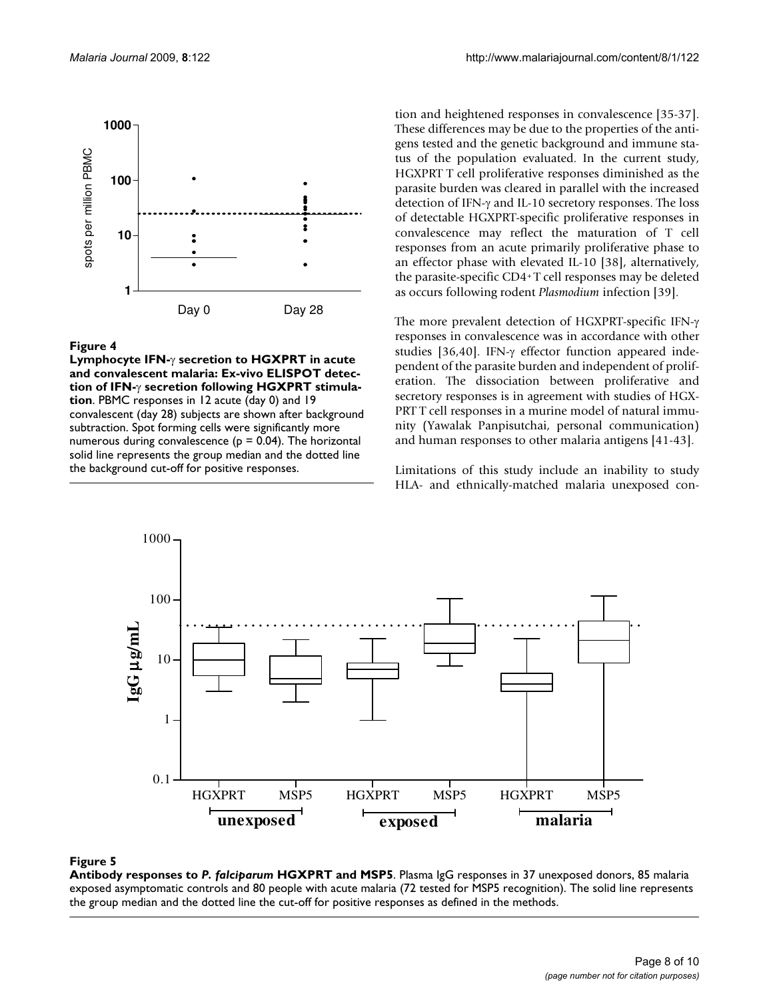

#### Figure 4

**Lymphocyte IFN-**γ **secretion to HGXPRT in acute and convalescent malaria: Ex-vivo ELISPOT detection of IFN-**γ **secretion following HGXPRT stimulation**. PBMC responses in 12 acute (day 0) and 19 convalescent (day 28) subjects are shown after background subtraction. Spot forming cells were significantly more numerous during convalescence ( $p = 0.04$ ). The horizontal solid line represents the group median and the dotted line the background cut-off for positive responses.

tion and heightened responses in convalescence [35-37]. These differences may be due to the properties of the antigens tested and the genetic background and immune status of the population evaluated. In the current study, HGXPRT T cell proliferative responses diminished as the parasite burden was cleared in parallel with the increased detection of IFN-γ and IL-10 secretory responses. The loss of detectable HGXPRT-specific proliferative responses in convalescence may reflect the maturation of T cell responses from an acute primarily proliferative phase to an effector phase with elevated IL-10 [38], alternatively, the parasite-specific CD4+ T cell responses may be deleted as occurs following rodent *Plasmodium* infection [39].

The more prevalent detection of HGXPRT-specific IFN-γ responses in convalescence was in accordance with other studies [36,40]. IFN-γ effector function appeared independent of the parasite burden and independent of proliferation. The dissociation between proliferative and secretory responses is in agreement with studies of HGX-PRT T cell responses in a murine model of natural immunity (Yawalak Panpisutchai, personal communication) and human responses to other malaria antigens [41-43].

Limitations of this study include an inability to study HLA- and ethnically-matched malaria unexposed con-



#### **Figure 5**

**Antibody responses to** *P. falciparum* **HGXPRT and MSP5**. Plasma IgG responses in 37 unexposed donors, 85 malaria exposed asymptomatic controls and 80 people with acute malaria (72 tested for MSP5 recognition). The solid line represents the group median and the dotted line the cut-off for positive responses as defined in the methods.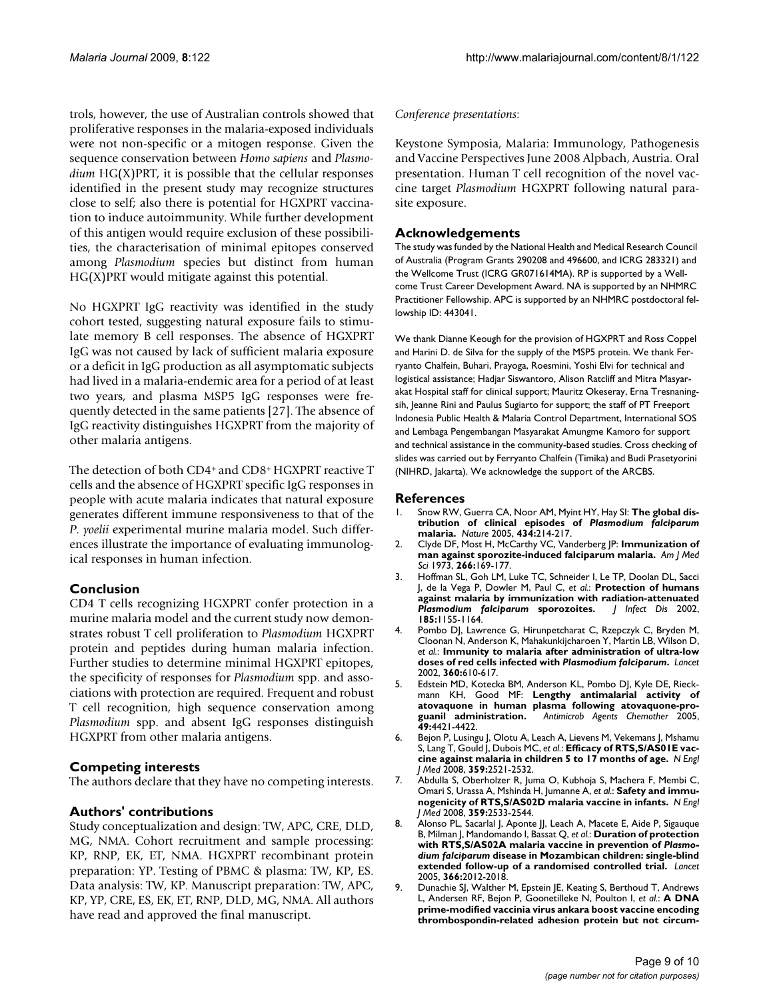trols, however, the use of Australian controls showed that proliferative responses in the malaria-exposed individuals were not non-specific or a mitogen response. Given the sequence conservation between *Homo sapiens* and *Plasmodium* HG(X)PRT, it is possible that the cellular responses identified in the present study may recognize structures close to self; also there is potential for HGXPRT vaccination to induce autoimmunity. While further development of this antigen would require exclusion of these possibilities, the characterisation of minimal epitopes conserved among *Plasmodium* species but distinct from human HG(X)PRT would mitigate against this potential.

No HGXPRT IgG reactivity was identified in the study cohort tested, suggesting natural exposure fails to stimulate memory B cell responses. The absence of HGXPRT IgG was not caused by lack of sufficient malaria exposure or a deficit in IgG production as all asymptomatic subjects had lived in a malaria-endemic area for a period of at least two years, and plasma MSP5 IgG responses were frequently detected in the same patients [27]. The absence of IgG reactivity distinguishes HGXPRT from the majority of other malaria antigens.

The detection of both CD4+ and CD8+ HGXPRT reactive T cells and the absence of HGXPRT specific IgG responses in people with acute malaria indicates that natural exposure generates different immune responsiveness to that of the *P. yoelii* experimental murine malaria model. Such differences illustrate the importance of evaluating immunological responses in human infection.

## **Conclusion**

CD4 T cells recognizing HGXPRT confer protection in a murine malaria model and the current study now demonstrates robust T cell proliferation to *Plasmodium* HGXPRT protein and peptides during human malaria infection. Further studies to determine minimal HGXPRT epitopes, the specificity of responses for *Plasmodium* spp. and associations with protection are required. Frequent and robust T cell recognition, high sequence conservation among *Plasmodium* spp. and absent IgG responses distinguish HGXPRT from other malaria antigens.

## **Competing interests**

The authors declare that they have no competing interests.

## **Authors' contributions**

Study conceptualization and design: TW, APC, CRE, DLD, MG, NMA. Cohort recruitment and sample processing: KP, RNP, EK, ET, NMA. HGXPRT recombinant protein preparation: YP. Testing of PBMC & plasma: TW, KP, ES. Data analysis: TW, KP. Manuscript preparation: TW, APC, KP, YP, CRE, ES, EK, ET, RNP, DLD, MG, NMA. All authors have read and approved the final manuscript.

## *Conference presentations*:

Keystone Symposia, Malaria: Immunology, Pathogenesis and Vaccine Perspectives June 2008 Alpbach, Austria. Oral presentation. Human T cell recognition of the novel vaccine target *Plasmodium* HGXPRT following natural parasite exposure.

### **Acknowledgements**

The study was funded by the National Health and Medical Research Council of Australia (Program Grants 290208 and 496600, and ICRG 283321) and the Wellcome Trust (ICRG GR071614MA). RP is supported by a Wellcome Trust Career Development Award. NA is supported by an NHMRC Practitioner Fellowship. APC is supported by an NHMRC postdoctoral fellowship ID: 443041.

We thank Dianne Keough for the provision of HGXPRT and Ross Coppel and Harini D. de Silva for the supply of the MSP5 protein. We thank Ferryanto Chalfein, Buhari, Prayoga, Roesmini, Yoshi Elvi for technical and logistical assistance; Hadjar Siswantoro, Alison Ratcliff and Mitra Masyarakat Hospital staff for clinical support; Mauritz Okeseray, Erna Tresnaningsih, Jeanne Rini and Paulus Sugiarto for support; the staff of PT Freeport Indonesia Public Health & Malaria Control Department, International SOS and Lembaga Pengembangan Masyarakat Amungme Kamoro for support and technical assistance in the community-based studies. Cross checking of slides was carried out by Ferryanto Chalfein (Timika) and Budi Prasetyorini (NIHRD, Jakarta). We acknowledge the support of the ARCBS.

#### **References**

- 1. Snow RW, Guerra CA, Noor AM, Myint HY, Hay SI: **The global distribution of clinical episodes of** *Plasmodium falciparum* **[malaria.](http://www.ncbi.nlm.nih.gov/entrez/query.fcgi?cmd=Retrieve&db=PubMed&dopt=Abstract&list_uids=15759000)** *Nature* 2005, **434:**214-217.
- 2. Clyde DF, Most H, McCarthy VC, Vanderberg JP: **[Immunization of](http://www.ncbi.nlm.nih.gov/entrez/query.fcgi?cmd=Retrieve&db=PubMed&dopt=Abstract&list_uids=4583408) [man against sporozite-induced falciparum malaria.](http://www.ncbi.nlm.nih.gov/entrez/query.fcgi?cmd=Retrieve&db=PubMed&dopt=Abstract&list_uids=4583408)** *Am J Med Sci* 1973, **266:**169-177.
- 3. Hoffman SL, Goh LM, Luke TC, Schneider I, Le TP, Doolan DL, Sacci J, de la Vega P, Dowler M, Paul C, *et al.*: **Protection of humans against malaria by immunization with radiation-attenuated** *Plasmodium falciparum [sporozoites.](http://www.ncbi.nlm.nih.gov/entrez/query.fcgi?cmd=Retrieve&db=PubMed&dopt=Abstract&list_uids=11930326)* **185:**1155-1164.
- Pombo DJ, Lawrence G, Hirunpetcharat C, Rzepczyk C, Bryden M, Cloonan N, Anderson K, Mahakunkijcharoen Y, Martin LB, Wilson D, *et al.*: **Immunity to malaria after administration of ultra-low doses of red cells infected with** *Plasmodium falciparum***[.](http://www.ncbi.nlm.nih.gov/entrez/query.fcgi?cmd=Retrieve&db=PubMed&dopt=Abstract&list_uids=12241933)** *Lancet* 2002, **360:**610-617.
- Edstein MD, Kotecka BM, Anderson KL, Pombo DJ, Kyle DE, Rieckmann KH, Good MF: **[Lengthy antimalarial activity of](http://www.ncbi.nlm.nih.gov/entrez/query.fcgi?cmd=Retrieve&db=PubMed&dopt=Abstract&list_uids=16189139) [atovaquone in human plasma following atovaquone-pro](http://www.ncbi.nlm.nih.gov/entrez/query.fcgi?cmd=Retrieve&db=PubMed&dopt=Abstract&list_uids=16189139)[guanil administration.](http://www.ncbi.nlm.nih.gov/entrez/query.fcgi?cmd=Retrieve&db=PubMed&dopt=Abstract&list_uids=16189139)** *Antimicrob Agents Chemother* 2005, **49:**4421-4422.
- 6. Bejon P, Lusingu J, Olotu A, Leach A, Lievens M, Vekemans J, Mshamu S, Lang T, Gould J, Dubois MC, *et al.*: **[Efficacy of RTS,S/AS01E vac](http://www.ncbi.nlm.nih.gov/entrez/query.fcgi?cmd=Retrieve&db=PubMed&dopt=Abstract&list_uids=19064627)[cine against malaria in children 5 to 17 months of age.](http://www.ncbi.nlm.nih.gov/entrez/query.fcgi?cmd=Retrieve&db=PubMed&dopt=Abstract&list_uids=19064627)** *N Engl J Med* 2008, **359:**2521-2532.
- 7. Abdulla S, Oberholzer R, Juma O, Kubhoja S, Machera F, Membi C, Omari S, Urassa A, Mshinda H, Jumanne A, *et al.*: **[Safety and immu](http://www.ncbi.nlm.nih.gov/entrez/query.fcgi?cmd=Retrieve&db=PubMed&dopt=Abstract&list_uids=19064623)[nogenicity of RTS,S/AS02D malaria vaccine in infants.](http://www.ncbi.nlm.nih.gov/entrez/query.fcgi?cmd=Retrieve&db=PubMed&dopt=Abstract&list_uids=19064623)** *N Engl J Med* 2008, **359:**2533-2544.
- 8. Alonso PL, Sacarlal J, Aponte JJ, Leach A, Macete E, Aide P, Sigauque B, Milman J, Mandomando I, Bassat Q, *et al.*: **Duration of protection with RTS,S/AS02A malaria vaccine in prevention of** *Plasmodium falciparum* **[disease in Mozambican children: single-blind](http://www.ncbi.nlm.nih.gov/entrez/query.fcgi?cmd=Retrieve&db=PubMed&dopt=Abstract&list_uids=16338450) [extended follow-up of a randomised controlled trial.](http://www.ncbi.nlm.nih.gov/entrez/query.fcgi?cmd=Retrieve&db=PubMed&dopt=Abstract&list_uids=16338450)** *Lancet* 2005, **366:**2012-2018.
- 9. Dunachie SJ, Walther M, Epstein JE, Keating S, Berthoud T, Andrews L, Andersen RF, Bejon P, Goonetilleke N, Poulton I, *et al.*: **A DNA prime-modified vaccinia virus ankara boost vaccine encoding thrombospondin-related adhesion protein but not circum-**